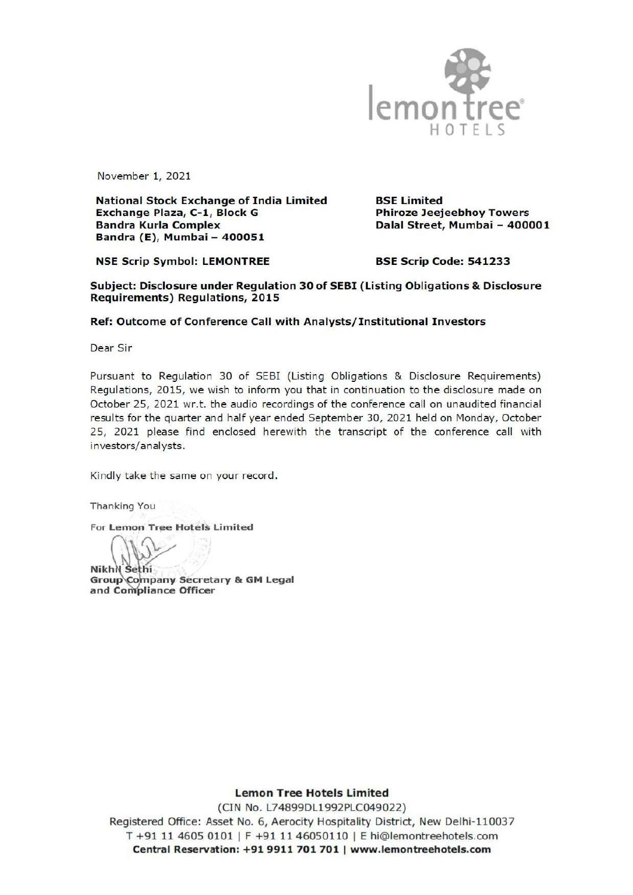

November 1, 2021

National Stock Exchange of India Limited BSE Limited Exchange Plaza, C-1, Block G Phiroze Jeejeebhoy Towers Bandra Kurla Complex Dalal Street, Mumbai - 400001 Bandra (E), Mumbai - 400051

NSE Scrip Symbol: LEMONTREE BSE Scrip Code: 541233

Subject: Disclosure under Regulation 30 of SEBI (Listing Obligations & Disclosure Requirements) Regulations, 2015

## Ref: Outcome of Conference Call with Analysts/ Institutional Investors

Dear Sir

Pursuant to Regulation 30 of SEBI (Listing Obligations & Disclosure Requirements) Regulations, 2015, we wish to inform you that in continuation to the disclosure made on October 25, 2021 wr.t. the audio recordings of the conference call on unaudited financial results for the quarter and half year ended September 30, 2021 held on Monday, October 25, 2021 please find enclosed herewith the transcript of the conference call with investors/analysts.

Kindly take the same on your record.

Thanking You

For Lemon Tree Hotels Limited

Nikhil Sethi Group Company Secretary & GM Legal<br>and Compliance Officer

Lemon Tree Hotels Limited

Delhi-110<br>hotels.com<br>ot<mark>els.com</mark> (CIN No. L74899DL1992PLC049022) Registered Office: Asset No. 6, Aerocity Hospitality District, New Delhi-110037 T +91 11 4605 0101 | F +91 11 46050110 | E hi@lemontreehotels.com Central Reservation: +91 9911 701 701 | www.lemontreehotels.com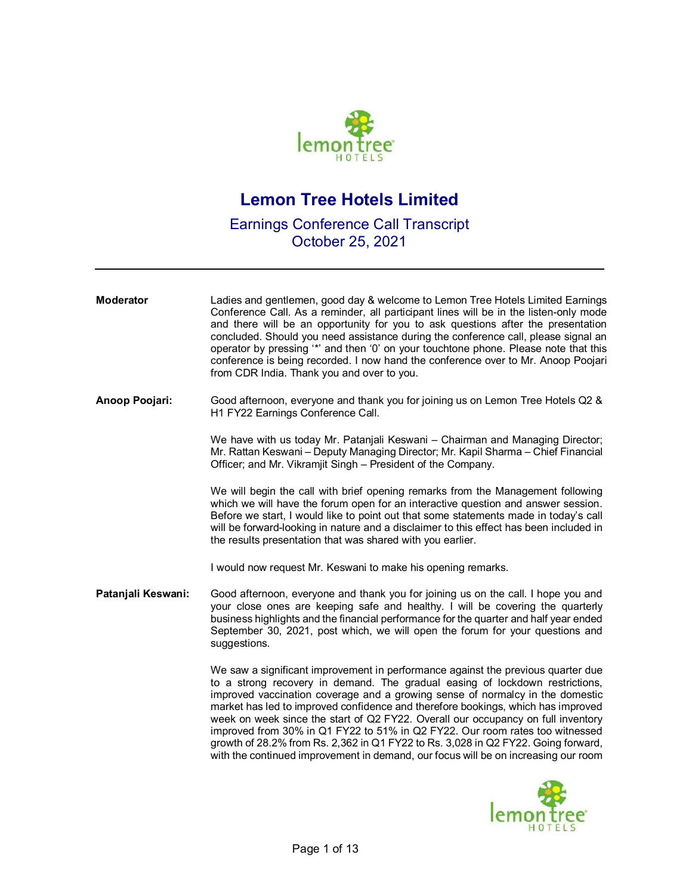

## **Lemon Tree Hotels Limited**

## Earnings Conference Call Transcript October 25, 2021

**Moderator** Ladies and gentlemen, good day & welcome to Lemon Tree Hotels Limited Earnings Conference Call. As a reminder, all participant lines will be in the listen-only mode and there will be an opportunity for you to ask questions after the presentation concluded. Should you need assistance during the conference call, please signal an operator by pressing '\*' and then '0' on your touchtone phone. Please note that this conference is being recorded. I now hand the conference over to Mr. Anoop Poojari from CDR India. Thank you and over to you. **Anoop Poojari:** Good afternoon, everyone and thank you for joining us on Lemon Tree Hotels Q2 & H1 FY22 Earnings Conference Call. We have with us today Mr. Patanjali Keswani – Chairman and Managing Director; Mr. Rattan Keswani – Deputy Managing Director; Mr. Kapil Sharma – Chief Financial Officer; and Mr. Vikramjit Singh – President of the Company. We will begin the call with brief opening remarks from the Management following which we will have the forum open for an interactive question and answer session. Before we start, I would like to point out that some statements made in today's call will be forward-looking in nature and a disclaimer to this effect has been included in the results presentation that was shared with you earlier. I would now request Mr. Keswani to make his opening remarks. **Patanjali Keswani:** Good afternoon, everyone and thank you for joining us on the call. I hope you and your close ones are keeping safe and healthy. I will be covering the quarterly business highlights and the financial performance for the quarter and half year ended September 30, 2021, post which, we will open the forum for your questions and suggestions. We saw a significant improvement in performance against the previous quarter due to a strong recovery in demand. The gradual easing of lockdown restrictions, improved vaccination coverage and a growing sense of normalcy in the domestic market has led to improved confidence and therefore bookings, which has improved week on week since the start of Q2 FY22. Overall our occupancy on full inventory improved from 30% in Q1 FY22 to 51% in Q2 FY22. Our room rates too witnessed growth of 28.2% from Rs. 2,362 in Q1 FY22 to Rs. 3,028 in Q2 FY22. Going forward, with the continued improvement in demand, our focus will be on increasing our room

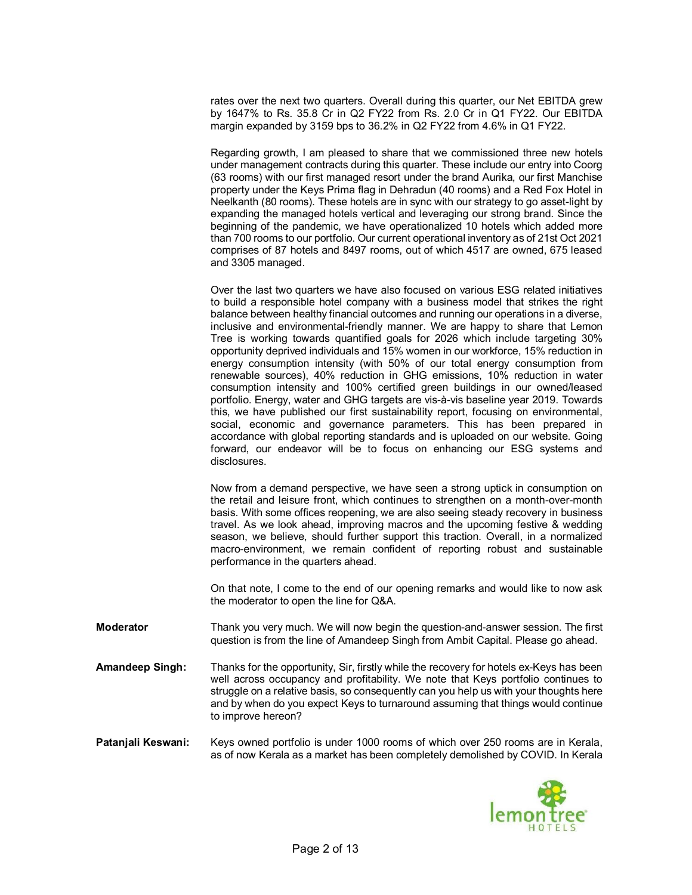rates over the next two quarters. Overall during this quarter, our Net EBITDA grew by 1647% to Rs. 35.8 Cr in Q2 FY22 from Rs. 2.0 Cr in Q1 FY22. Our EBITDA margin expanded by 3159 bps to 36.2% in Q2 FY22 from 4.6% in Q1 FY22.

Regarding growth, I am pleased to share that we commissioned three new hotels under management contracts during this quarter. These include our entry into Coorg (63 rooms) with our first managed resort under the brand Aurika, our first Manchise property under the Keys Prima flag in Dehradun (40 rooms) and a Red Fox Hotel in Neelkanth (80 rooms). These hotels are in sync with our strategy to go asset-light by expanding the managed hotels vertical and leveraging our strong brand. Since the beginning of the pandemic, we have operationalized 10 hotels which added more than 700 rooms to our portfolio. Our current operational inventory as of 21st Oct 2021 comprises of 87 hotels and 8497 rooms, out of which 4517 are owned, 675 leased and 3305 managed.

Over the last two quarters we have also focused on various ESG related initiatives to build a responsible hotel company with a business model that strikes the right balance between healthy financial outcomes and running our operations in a diverse, inclusive and environmental-friendly manner. We are happy to share that Lemon Tree is working towards quantified goals for 2026 which include targeting 30% opportunity deprived individuals and 15% women in our workforce, 15% reduction in energy consumption intensity (with 50% of our total energy consumption from renewable sources), 40% reduction in GHG emissions, 10% reduction in water consumption intensity and 100% certified green buildings in our owned/leased portfolio. Energy, water and GHG targets are vis-à-vis baseline year 2019. Towards this, we have published our first sustainability report, focusing on environmental, social, economic and governance parameters. This has been prepared in accordance with global reporting standards and is uploaded on our website. Going forward, our endeavor will be to focus on enhancing our ESG systems and disclosures.

Now from a demand perspective, we have seen a strong uptick in consumption on the retail and leisure front, which continues to strengthen on a month-over-month basis. With some offices reopening, we are also seeing steady recovery in business travel. As we look ahead, improving macros and the upcoming festive & wedding season, we believe, should further support this traction. Overall, in a normalized macro-environment, we remain confident of reporting robust and sustainable performance in the quarters ahead.

On that note, I come to the end of our opening remarks and would like to now ask the moderator to open the line for Q&A.

**Moderator** Thank you very much. We will now begin the question-and-answer session. The first question is from the line of Amandeep Singh from Ambit Capital. Please go ahead.

**Amandeep Singh:** Thanks for the opportunity, Sir, firstly while the recovery for hotels ex-Keys has been well across occupancy and profitability. We note that Keys portfolio continues to struggle on a relative basis, so consequently can you help us with your thoughts here and by when do you expect Keys to turnaround assuming that things would continue to improve hereon?

**Patanjali Keswani:** Keys owned portfolio is under 1000 rooms of which over 250 rooms are in Kerala, as of now Kerala as a market has been completely demolished by COVID. In Kerala

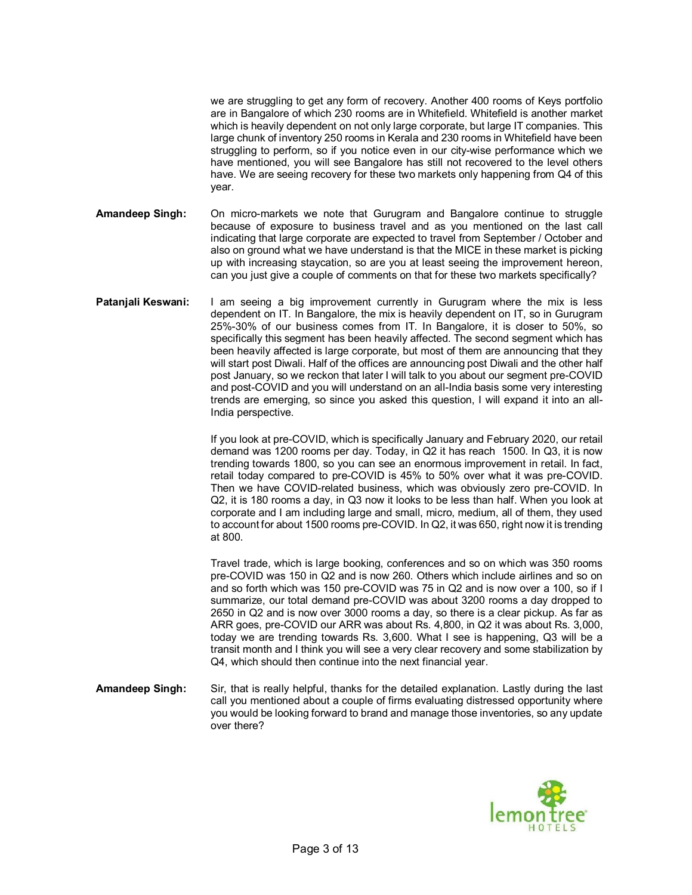we are struggling to get any form of recovery. Another 400 rooms of Keys portfolio are in Bangalore of which 230 rooms are in Whitefield. Whitefield is another market which is heavily dependent on not only large corporate, but large IT companies. This large chunk of inventory 250 rooms in Kerala and 230 rooms in Whitefield have been struggling to perform, so if you notice even in our city-wise performance which we have mentioned, you will see Bangalore has still not recovered to the level others have. We are seeing recovery for these two markets only happening from Q4 of this year.

- **Amandeep Singh:** On micro-markets we note that Gurugram and Bangalore continue to struggle because of exposure to business travel and as you mentioned on the last call indicating that large corporate are expected to travel from September / October and also on ground what we have understand is that the MICE in these market is picking up with increasing staycation, so are you at least seeing the improvement hereon, can you just give a couple of comments on that for these two markets specifically?
- **Patanjali Keswani:** I am seeing a big improvement currently in Gurugram where the mix is less dependent on IT. In Bangalore, the mix is heavily dependent on IT, so in Gurugram 25%-30% of our business comes from IT. In Bangalore, it is closer to 50%, so specifically this segment has been heavily affected. The second segment which has been heavily affected is large corporate, but most of them are announcing that they will start post Diwali. Half of the offices are announcing post Diwali and the other half post January, so we reckon that later I will talk to you about our segment pre-COVID and post-COVID and you will understand on an all-India basis some very interesting trends are emerging, so since you asked this question, I will expand it into an all-India perspective.

If you look at pre-COVID, which is specifically January and February 2020, our retail demand was 1200 rooms per day. Today, in Q2 it has reach 1500. In Q3, it is now trending towards 1800, so you can see an enormous improvement in retail. In fact, retail today compared to pre-COVID is 45% to 50% over what it was pre-COVID. Then we have COVID-related business, which was obviously zero pre-COVID. In Q2, it is 180 rooms a day, in Q3 now it looks to be less than half. When you look at corporate and I am including large and small, micro, medium, all of them, they used to account for about 1500 rooms pre-COVID. In Q2, it was 650, right now it is trending at 800.

Travel trade, which is large booking, conferences and so on which was 350 rooms pre-COVID was 150 in Q2 and is now 260. Others which include airlines and so on and so forth which was 150 pre-COVID was 75 in Q2 and is now over a 100, so if I summarize, our total demand pre-COVID was about 3200 rooms a day dropped to 2650 in Q2 and is now over 3000 rooms a day, so there is a clear pickup. As far as ARR goes, pre-COVID our ARR was about Rs. 4,800, in Q2 it was about Rs. 3,000, today we are trending towards Rs. 3,600. What I see is happening, Q3 will be a transit month and I think you will see a very clear recovery and some stabilization by Q4, which should then continue into the next financial year.

**Amandeep Singh:** Sir, that is really helpful, thanks for the detailed explanation. Lastly during the last call you mentioned about a couple of firms evaluating distressed opportunity where you would be looking forward to brand and manage those inventories, so any update over there?

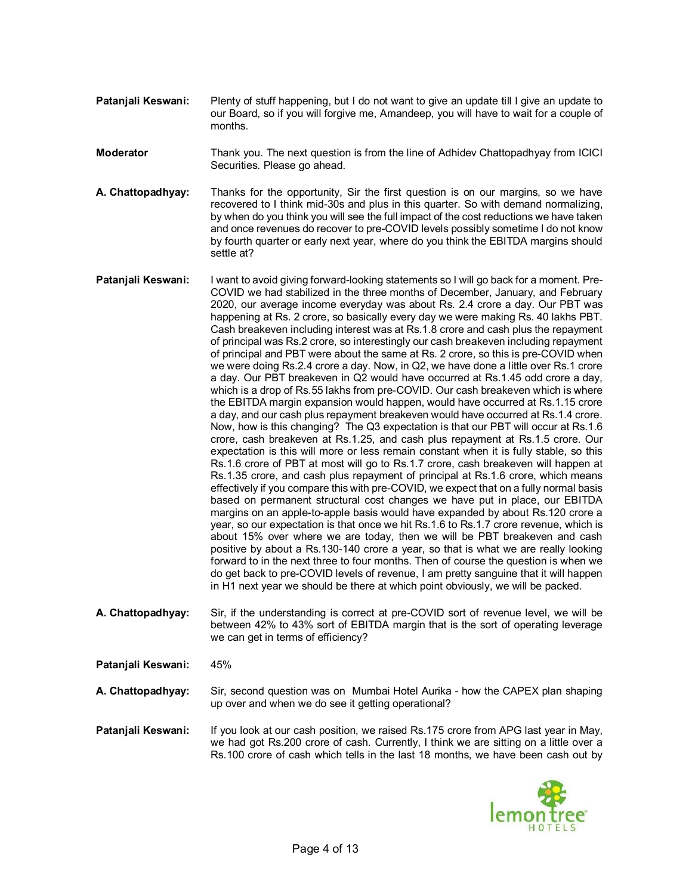- **Pataniali Keswani:** Plenty of stuff happening, but I do not want to give an update till I give an update to our Board, so if you will forgive me, Amandeep, you will have to wait for a couple of months.
- **Moderator** Thank you. The next question is from the line of Adhidev Chattopadhyay from ICICI Securities. Please go ahead.
- **A. Chattopadhyay:** Thanks for the opportunity, Sir the first question is on our margins, so we have recovered to I think mid-30s and plus in this quarter. So with demand normalizing, by when do you think you will see the full impact of the cost reductions we have taken and once revenues do recover to pre-COVID levels possibly sometime I do not know by fourth quarter or early next year, where do you think the EBITDA margins should settle at?
- **Patanjali Keswani:** I want to avoid giving forward-looking statements so I will go back for a moment. Pre-COVID we had stabilized in the three months of December, January, and February 2020, our average income everyday was about Rs. 2.4 crore a day. Our PBT was happening at Rs. 2 crore, so basically every day we were making Rs. 40 lakhs PBT. Cash breakeven including interest was at Rs.1.8 crore and cash plus the repayment of principal was Rs.2 crore, so interestingly our cash breakeven including repayment of principal and PBT were about the same at Rs. 2 crore, so this is pre-COVID when we were doing Rs.2.4 crore a day. Now, in Q2, we have done a little over Rs.1 crore a day. Our PBT breakeven in Q2 would have occurred at Rs.1.45 odd crore a day, which is a drop of Rs.55 lakhs from pre-COVID. Our cash breakeven which is where the EBITDA margin expansion would happen, would have occurred at Rs.1.15 crore a day, and our cash plus repayment breakeven would have occurred at Rs.1.4 crore. Now, how is this changing? The Q3 expectation is that our PBT will occur at Rs.1.6 crore, cash breakeven at Rs.1.25, and cash plus repayment at Rs.1.5 crore. Our expectation is this will more or less remain constant when it is fully stable, so this Rs.1.6 crore of PBT at most will go to Rs.1.7 crore, cash breakeven will happen at Rs.1.35 crore, and cash plus repayment of principal at Rs.1.6 crore, which means effectively if you compare this with pre-COVID, we expect that on a fully normal basis based on permanent structural cost changes we have put in place, our EBITDA margins on an apple-to-apple basis would have expanded by about Rs.120 crore a year, so our expectation is that once we hit Rs.1.6 to Rs.1.7 crore revenue, which is about 15% over where we are today, then we will be PBT breakeven and cash positive by about a Rs.130-140 crore a year, so that is what we are really looking forward to in the next three to four months. Then of course the question is when we do get back to pre-COVID levels of revenue, I am pretty sanguine that it will happen in H1 next year we should be there at which point obviously, we will be packed.
- **A. Chattopadhyay:** Sir, if the understanding is correct at pre-COVID sort of revenue level, we will be between 42% to 43% sort of EBITDA margin that is the sort of operating leverage we can get in terms of efficiency?
- **Patanjali Keswani:** 45%
- **A. Chattopadhyay:** Sir, second question was on Mumbai Hotel Aurika how the CAPEX plan shaping up over and when we do see it getting operational?

**Patanjali Keswani:** If you look at our cash position, we raised Rs.175 crore from APG last year in May, we had got Rs.200 crore of cash. Currently, I think we are sitting on a little over a Rs.100 crore of cash which tells in the last 18 months, we have been cash out by

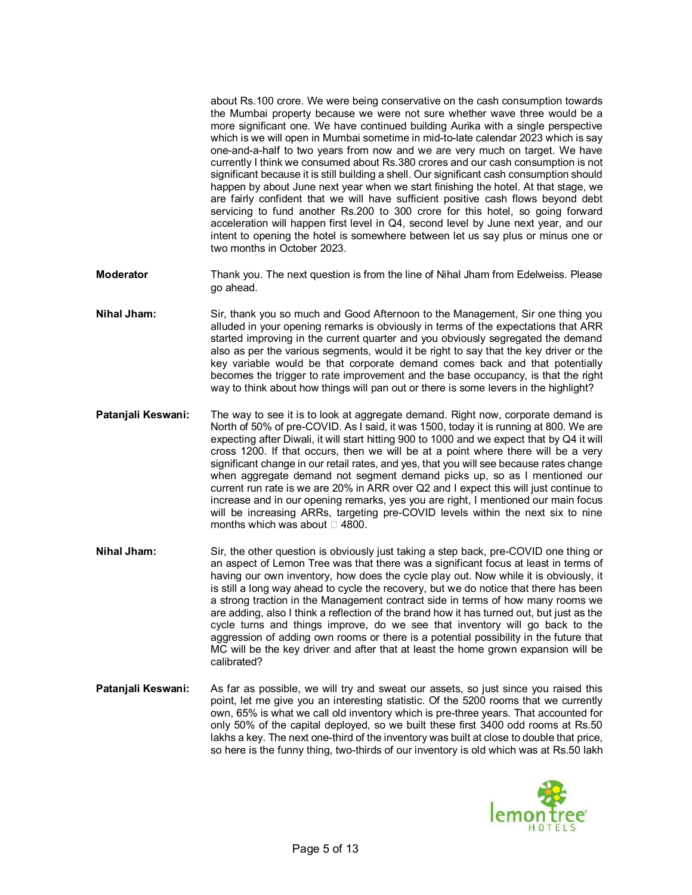about Rs.100 crore. We were being conservative on the cash consumption towards the Mumbai property because we were not sure whether wave three would be a more significant one. We have continued building Aurika with a single perspective which is we will open in Mumbai sometime in mid-to-late calendar 2023 which is say one-and-a-half to two years from now and we are very much on target. We have currently I think we consumed about Rs.380 crores and our cash consumption is not significant because it is still building a shell. Our significant cash consumption should happen by about June next year when we start finishing the hotel. At that stage, we are fairly confident that we will have sufficient positive cash flows beyond debt servicing to fund another Rs.200 to 300 crore for this hotel, so going forward acceleration will happen first level in Q4, second level by June next year, and our intent to opening the hotel is somewhere between let us say plus or minus one or two months in October 2023.

- **Moderator** Thank you. The next question is from the line of Nihal Jham from Edelweiss. Please go ahead.
- **Nihal Jham:** Sir, thank you so much and Good Afternoon to the Management, Sir one thing you alluded in your opening remarks is obviously in terms of the expectations that ARR started improving in the current quarter and you obviously segregated the demand also as per the various segments, would it be right to say that the key driver or the key variable would be that corporate demand comes back and that potentially becomes the trigger to rate improvement and the base occupancy, is that the right way to think about how things will pan out or there is some levers in the highlight?
- **Patanjali Keswani:** The way to see it is to look at aggregate demand. Right now, corporate demand is North of 50% of pre-COVID. As I said, it was 1500, today it is running at 800. We are expecting after Diwali, it will start hitting 900 to 1000 and we expect that by Q4 it will cross 1200. If that occurs, then we will be at a point where there will be a very significant change in our retail rates, and yes, that you will see because rates change when aggregate demand not segment demand picks up, so as I mentioned our current run rate is we are 20% in ARR over Q2 and I expect this will just continue to increase and in our opening remarks, yes you are right, I mentioned our main focus will be increasing ARRs, targeting pre-COVID levels within the next six to nine months which was about  $\Box$  4800.
- **Nihal Jham:** Sir, the other question is obviously just taking a step back, pre-COVID one thing or an aspect of Lemon Tree was that there was a significant focus at least in terms of having our own inventory, how does the cycle play out. Now while it is obviously, it is still a long way ahead to cycle the recovery, but we do notice that there has been a strong traction in the Management contract side in terms of how many rooms we are adding, also I think a reflection of the brand how it has turned out, but just as the cycle turns and things improve, do we see that inventory will go back to the aggression of adding own rooms or there is a potential possibility in the future that MC will be the key driver and after that at least the home grown expansion will be calibrated?
- **Patanjali Keswani:** As far as possible, we will try and sweat our assets, so just since you raised this point, let me give you an interesting statistic. Of the 5200 rooms that we currently own, 65% is what we call old inventory which is pre-three years. That accounted for only 50% of the capital deployed, so we built these first 3400 odd rooms at Rs.50 lakhs a key. The next one-third of the inventory was built at close to double that price, so here is the funny thing, two-thirds of our inventory is old which was at Rs.50 lakh

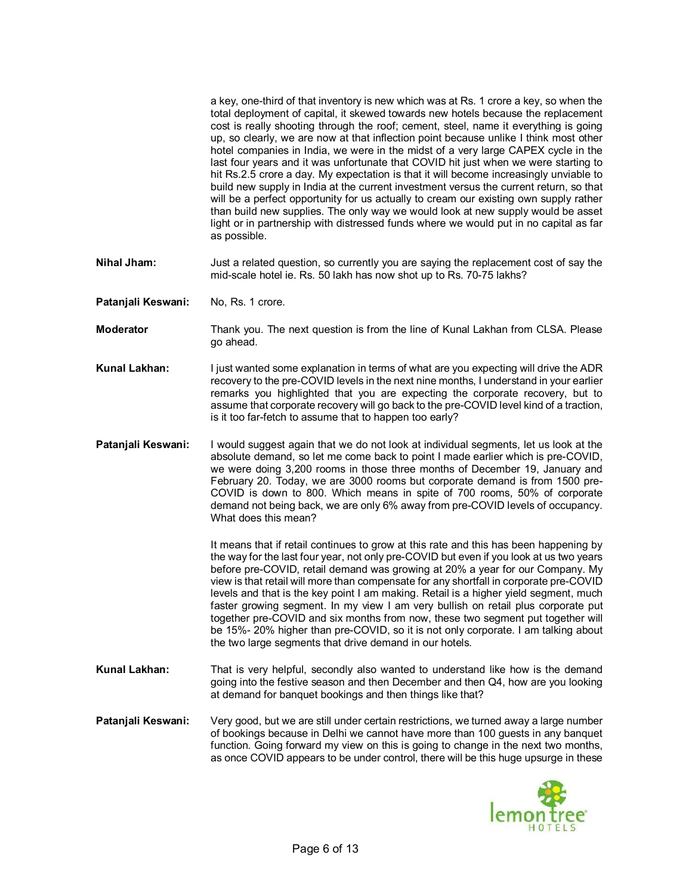a key, one-third of that inventory is new which was at Rs. 1 crore a key, so when the total deployment of capital, it skewed towards new hotels because the replacement cost is really shooting through the roof; cement, steel, name it everything is going up, so clearly, we are now at that inflection point because unlike I think most other hotel companies in India, we were in the midst of a very large CAPEX cycle in the last four years and it was unfortunate that COVID hit just when we were starting to hit Rs.2.5 crore a day. My expectation is that it will become increasingly unviable to build new supply in India at the current investment versus the current return, so that will be a perfect opportunity for us actually to cream our existing own supply rather than build new supplies. The only way we would look at new supply would be asset light or in partnership with distressed funds where we would put in no capital as far as possible.

- **Nihal Jham:** Just a related question, so currently you are saying the replacement cost of say the mid-scale hotel ie. Rs. 50 lakh has now shot up to Rs. 70-75 lakhs?
- Patanjali Keswani: No, Rs. 1 crore.
- **Moderator** Thank you. The next question is from the line of Kunal Lakhan from CLSA. Please go ahead.
- **Kunal Lakhan:** I just wanted some explanation in terms of what are you expecting will drive the ADR recovery to the pre-COVID levels in the next nine months, I understand in your earlier remarks you highlighted that you are expecting the corporate recovery, but to assume that corporate recovery will go back to the pre-COVID level kind of a traction, is it too far-fetch to assume that to happen too early?
- **Patanjali Keswani:** I would suggest again that we do not look at individual segments, let us look at the absolute demand, so let me come back to point I made earlier which is pre-COVID, we were doing 3,200 rooms in those three months of December 19, January and February 20. Today, we are 3000 rooms but corporate demand is from 1500 pre-COVID is down to 800. Which means in spite of 700 rooms, 50% of corporate demand not being back, we are only 6% away from pre-COVID levels of occupancy. What does this mean?

It means that if retail continues to grow at this rate and this has been happening by the way for the last four year, not only pre-COVID but even if you look at us two years before pre-COVID, retail demand was growing at 20% a year for our Company. My view is that retail will more than compensate for any shortfall in corporate pre-COVID levels and that is the key point I am making. Retail is a higher yield segment, much faster growing segment. In my view I am very bullish on retail plus corporate put together pre-COVID and six months from now, these two segment put together will be 15%- 20% higher than pre-COVID, so it is not only corporate. I am talking about the two large segments that drive demand in our hotels.

- **Kunal Lakhan:** That is very helpful, secondly also wanted to understand like how is the demand going into the festive season and then December and then Q4, how are you looking at demand for banquet bookings and then things like that?
- **Patanjali Keswani:** Very good, but we are still under certain restrictions, we turned away a large number of bookings because in Delhi we cannot have more than 100 guests in any banquet function. Going forward my view on this is going to change in the next two months, as once COVID appears to be under control, there will be this huge upsurge in these

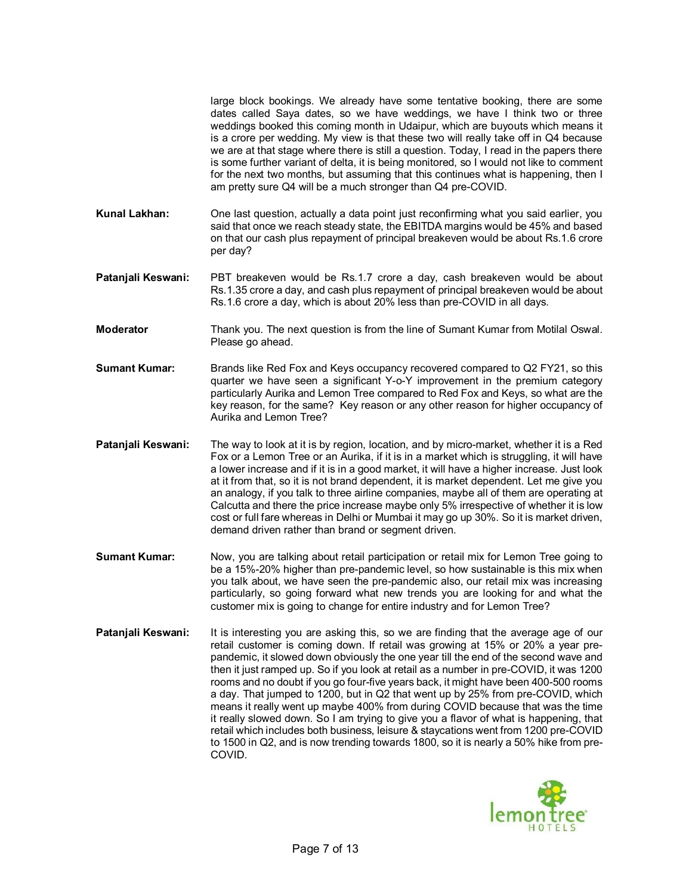large block bookings. We already have some tentative booking, there are some dates called Saya dates, so we have weddings, we have I think two or three weddings booked this coming month in Udaipur, which are buyouts which means it is a crore per wedding. My view is that these two will really take off in Q4 because we are at that stage where there is still a question. Today, I read in the papers there is some further variant of delta, it is being monitored, so I would not like to comment for the next two months, but assuming that this continues what is happening, then I am pretty sure Q4 will be a much stronger than Q4 pre-COVID.

- **Kunal Lakhan:** One last question, actually a data point just reconfirming what you said earlier, you said that once we reach steady state, the EBITDA margins would be 45% and based on that our cash plus repayment of principal breakeven would be about Rs.1.6 crore per day?
- **Patanjali Keswani:** PBT breakeven would be Rs.1.7 crore a day, cash breakeven would be about Rs.1.35 crore a day, and cash plus repayment of principal breakeven would be about Rs.1.6 crore a day, which is about 20% less than pre-COVID in all days.
- **Moderator** Thank you. The next question is from the line of Sumant Kumar from Motilal Oswal. Please go ahead.
- **Sumant Kumar:** Brands like Red Fox and Keys occupancy recovered compared to Q2 FY21, so this quarter we have seen a significant Y-o-Y improvement in the premium category particularly Aurika and Lemon Tree compared to Red Fox and Keys, so what are the key reason, for the same? Key reason or any other reason for higher occupancy of Aurika and Lemon Tree?
- **Patanjali Keswani:** The way to look at it is by region, location, and by micro-market, whether it is a Red Fox or a Lemon Tree or an Aurika, if it is in a market which is struggling, it will have a lower increase and if it is in a good market, it will have a higher increase. Just look at it from that, so it is not brand dependent, it is market dependent. Let me give you an analogy, if you talk to three airline companies, maybe all of them are operating at Calcutta and there the price increase maybe only 5% irrespective of whether it is low cost or full fare whereas in Delhi or Mumbai it may go up 30%. So it is market driven, demand driven rather than brand or segment driven.
- **Sumant Kumar:** Now, you are talking about retail participation or retail mix for Lemon Tree going to be a 15%-20% higher than pre-pandemic level, so how sustainable is this mix when you talk about, we have seen the pre-pandemic also, our retail mix was increasing particularly, so going forward what new trends you are looking for and what the customer mix is going to change for entire industry and for Lemon Tree?
- **Patanjali Keswani:** It is interesting you are asking this, so we are finding that the average age of our retail customer is coming down. If retail was growing at 15% or 20% a year prepandemic, it slowed down obviously the one year till the end of the second wave and then it just ramped up. So if you look at retail as a number in pre-COVID, it was 1200 rooms and no doubt if you go four-five years back, it might have been 400-500 rooms a day. That jumped to 1200, but in Q2 that went up by 25% from pre-COVID, which means it really went up maybe 400% from during COVID because that was the time it really slowed down. So I am trying to give you a flavor of what is happening, that retail which includes both business, leisure & staycations went from 1200 pre-COVID to 1500 in Q2, and is now trending towards 1800, so it is nearly a 50% hike from pre-COVID.

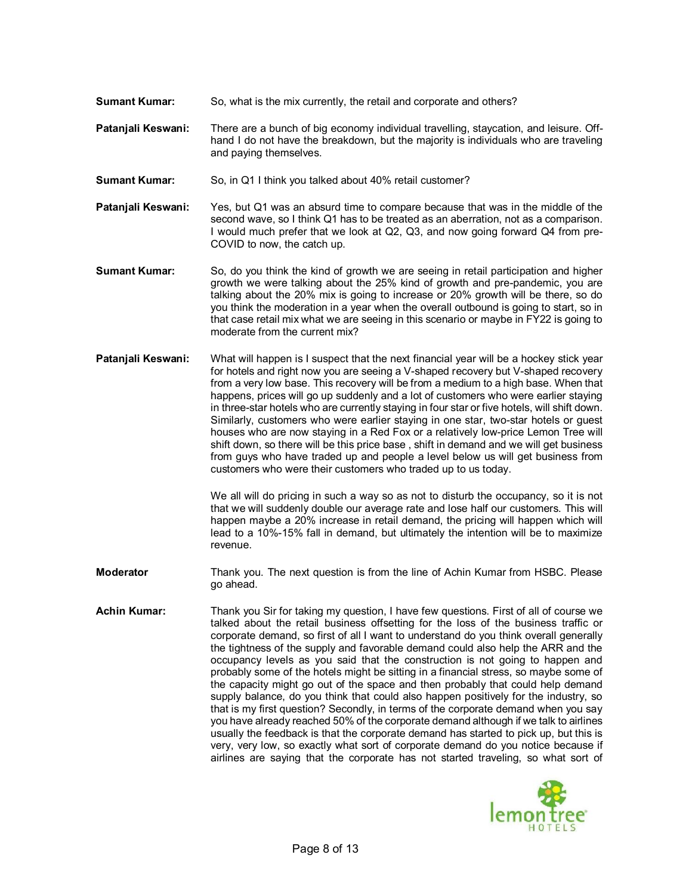- **Sumant Kumar:** So, what is the mix currently, the retail and corporate and others?
- **Patanjali Keswani:** There are a bunch of big economy individual travelling, staycation, and leisure. Offhand I do not have the breakdown, but the majority is individuals who are traveling and paying themselves.
- **Sumant Kumar:** So, in Q1 I think you talked about 40% retail customer?
- **Patanjali Keswani:** Yes, but Q1 was an absurd time to compare because that was in the middle of the second wave, so I think Q1 has to be treated as an aberration, not as a comparison. I would much prefer that we look at Q2, Q3, and now going forward Q4 from pre-COVID to now, the catch up.
- **Sumant Kumar:** So, do you think the kind of growth we are seeing in retail participation and higher growth we were talking about the 25% kind of growth and pre-pandemic, you are talking about the 20% mix is going to increase or 20% growth will be there, so do you think the moderation in a year when the overall outbound is going to start, so in that case retail mix what we are seeing in this scenario or maybe in FY22 is going to moderate from the current mix?
- **Patanjali Keswani:** What will happen is I suspect that the next financial year will be a hockey stick year for hotels and right now you are seeing a V-shaped recovery but V-shaped recovery from a very low base. This recovery will be from a medium to a high base. When that happens, prices will go up suddenly and a lot of customers who were earlier staying in three-star hotels who are currently staying in four star or five hotels, will shift down. Similarly, customers who were earlier staying in one star, two-star hotels or guest houses who are now staying in a Red Fox or a relatively low-price Lemon Tree will shift down, so there will be this price base , shift in demand and we will get business from guys who have traded up and people a level below us will get business from customers who were their customers who traded up to us today.

We all will do pricing in such a way so as not to disturb the occupancy, so it is not that we will suddenly double our average rate and lose half our customers. This will happen maybe a 20% increase in retail demand, the pricing will happen which will lead to a 10%-15% fall in demand, but ultimately the intention will be to maximize revenue.

- **Moderator** Thank you. The next question is from the line of Achin Kumar from HSBC. Please go ahead.
- **Achin Kumar:** Thank you Sir for taking my question, I have few questions. First of all of course we talked about the retail business offsetting for the loss of the business traffic or corporate demand, so first of all I want to understand do you think overall generally the tightness of the supply and favorable demand could also help the ARR and the occupancy levels as you said that the construction is not going to happen and probably some of the hotels might be sitting in a financial stress, so maybe some of the capacity might go out of the space and then probably that could help demand supply balance, do you think that could also happen positively for the industry, so that is my first question? Secondly, in terms of the corporate demand when you say you have already reached 50% of the corporate demand although if we talk to airlines usually the feedback is that the corporate demand has started to pick up, but this is very, very low, so exactly what sort of corporate demand do you notice because if airlines are saying that the corporate has not started traveling, so what sort of

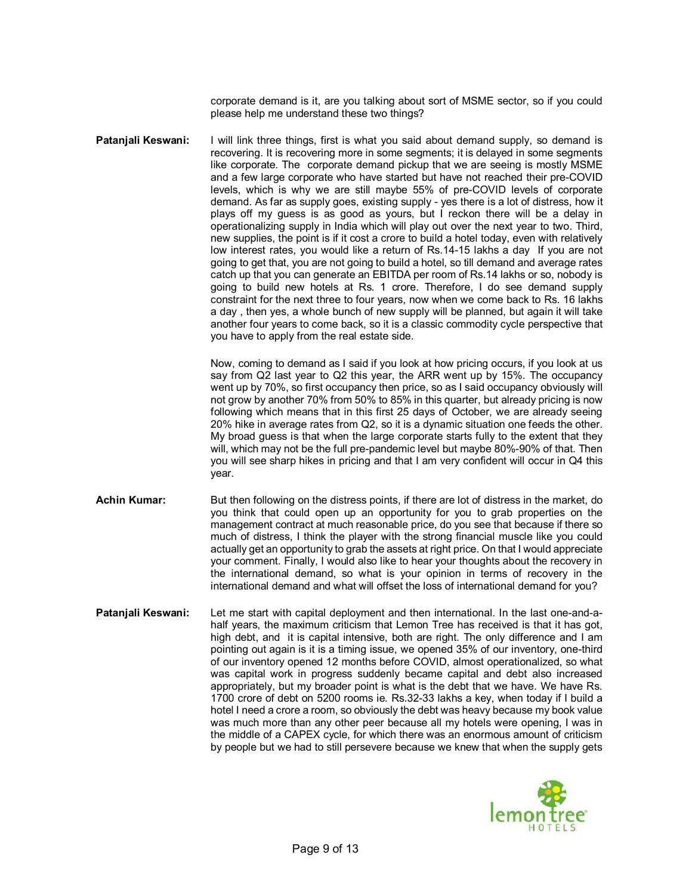corporate demand is it, are you talking about sort of MSME sector, so if you could please help me understand these two things?

**Patanjali Keswani:** I will link three things, first is what you said about demand supply, so demand is recovering. It is recovering more in some segments; it is delayed in some segments like corporate. The corporate demand pickup that we are seeing is mostly MSME and a few large corporate who have started but have not reached their pre-COVID levels, which is why we are still maybe 55% of pre-COVID levels of corporate demand. As far as supply goes, existing supply - yes there is a lot of distress, how it plays off my guess is as good as yours, but I reckon there will be a delay in operationalizing supply in India which will play out over the next year to two. Third, new supplies, the point is if it cost a crore to build a hotel today, even with relatively low interest rates, you would like a return of Rs.14-15 lakhs a day If you are not going to get that, you are not going to build a hotel, so till demand and average rates catch up that you can generate an EBITDA per room of Rs.14 lakhs or so, nobody is going to build new hotels at Rs. 1 crore. Therefore, I do see demand supply constraint for the next three to four years, now when we come back to Rs. 16 lakhs a day , then yes, a whole bunch of new supply will be planned, but again it will take another four years to come back, so it is a classic commodity cycle perspective that you have to apply from the real estate side.

> Now, coming to demand as I said if you look at how pricing occurs, if you look at us say from Q2 last year to Q2 this year, the ARR went up by 15%. The occupancy went up by 70%, so first occupancy then price, so as I said occupancy obviously will not grow by another 70% from 50% to 85% in this quarter, but already pricing is now following which means that in this first 25 days of October, we are already seeing 20% hike in average rates from Q2, so it is a dynamic situation one feeds the other. My broad guess is that when the large corporate starts fully to the extent that they will, which may not be the full pre-pandemic level but maybe 80%-90% of that. Then you will see sharp hikes in pricing and that I am very confident will occur in Q4 this year.

- **Achin Kumar:** But then following on the distress points, if there are lot of distress in the market, do you think that could open up an opportunity for you to grab properties on the management contract at much reasonable price, do you see that because if there so much of distress, I think the player with the strong financial muscle like you could actually get an opportunity to grab the assets at right price. On that I would appreciate your comment. Finally, I would also like to hear your thoughts about the recovery in the international demand, so what is your opinion in terms of recovery in the international demand and what will offset the loss of international demand for you?
- **Patanjali Keswani:** Let me start with capital deployment and then international. In the last one-and-ahalf years, the maximum criticism that Lemon Tree has received is that it has got, high debt, and it is capital intensive, both are right. The only difference and I am pointing out again is it is a timing issue, we opened 35% of our inventory, one-third of our inventory opened 12 months before COVID, almost operationalized, so what was capital work in progress suddenly became capital and debt also increased appropriately, but my broader point is what is the debt that we have. We have Rs. 1700 crore of debt on 5200 rooms ie. Rs.32-33 lakhs a key, when today if I build a hotel I need a crore a room, so obviously the debt was heavy because my book value was much more than any other peer because all my hotels were opening, I was in the middle of a CAPEX cycle, for which there was an enormous amount of criticism by people but we had to still persevere because we knew that when the supply gets

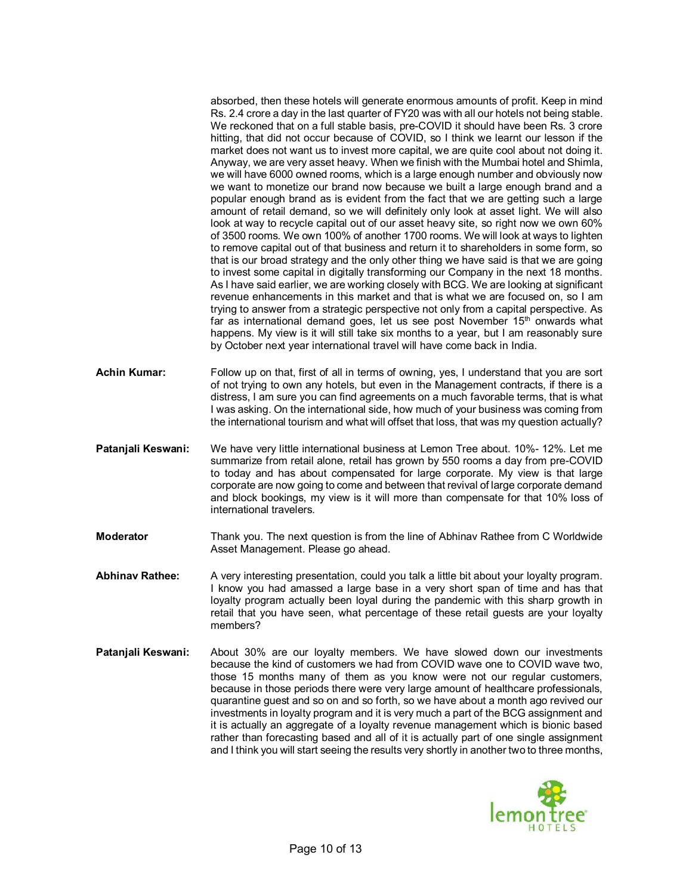absorbed, then these hotels will generate enormous amounts of profit. Keep in mind Rs. 2.4 crore a day in the last quarter of FY20 was with all our hotels not being stable. We reckoned that on a full stable basis, pre-COVID it should have been Rs. 3 crore hitting, that did not occur because of COVID, so I think we learnt our lesson if the market does not want us to invest more capital, we are quite cool about not doing it. Anyway, we are very asset heavy. When we finish with the Mumbai hotel and Shimla, we will have 6000 owned rooms, which is a large enough number and obviously now we want to monetize our brand now because we built a large enough brand and a popular enough brand as is evident from the fact that we are getting such a large amount of retail demand, so we will definitely only look at asset light. We will also look at way to recycle capital out of our asset heavy site, so right now we own 60% of 3500 rooms. We own 100% of another 1700 rooms. We will look at ways to lighten to remove capital out of that business and return it to shareholders in some form, so that is our broad strategy and the only other thing we have said is that we are going to invest some capital in digitally transforming our Company in the next 18 months. As I have said earlier, we are working closely with BCG. We are looking at significant revenue enhancements in this market and that is what we are focused on, so I am trying to answer from a strategic perspective not only from a capital perspective. As far as international demand goes, let us see post November  $15<sup>th</sup>$  onwards what happens. My view is it will still take six months to a year, but I am reasonably sure by October next year international travel will have come back in India.

- **Achin Kumar:** Follow up on that, first of all in terms of owning, yes, I understand that you are sort of not trying to own any hotels, but even in the Management contracts, if there is a distress, I am sure you can find agreements on a much favorable terms, that is what I was asking. On the international side, how much of your business was coming from the international tourism and what will offset that loss, that was my question actually?
- **Patanjali Keswani:** We have very little international business at Lemon Tree about. 10%- 12%. Let me summarize from retail alone, retail has grown by 550 rooms a day from pre-COVID to today and has about compensated for large corporate. My view is that large corporate are now going to come and between that revival of large corporate demand and block bookings, my view is it will more than compensate for that 10% loss of international travelers.
- **Moderator** Thank you. The next question is from the line of Abhinav Rathee from C Worldwide Asset Management. Please go ahead.
- **Abhinav Rathee:** A very interesting presentation, could you talk a little bit about your loyalty program. I know you had amassed a large base in a very short span of time and has that loyalty program actually been loyal during the pandemic with this sharp growth in retail that you have seen, what percentage of these retail guests are your loyalty members?
- **Patanjali Keswani:** About 30% are our loyalty members. We have slowed down our investments because the kind of customers we had from COVID wave one to COVID wave two, those 15 months many of them as you know were not our regular customers, because in those periods there were very large amount of healthcare professionals, quarantine guest and so on and so forth, so we have about a month ago revived our investments in loyalty program and it is very much a part of the BCG assignment and it is actually an aggregate of a loyalty revenue management which is bionic based rather than forecasting based and all of it is actually part of one single assignment and I think you will start seeing the results very shortly in another two to three months,

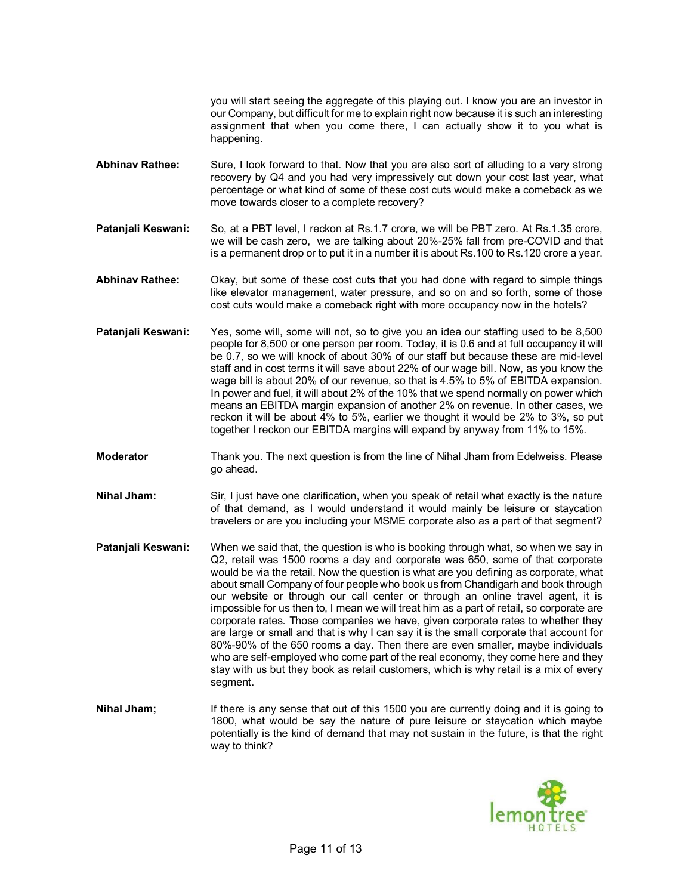you will start seeing the aggregate of this playing out. I know you are an investor in our Company, but difficult for me to explain right now because it is such an interesting assignment that when you come there, I can actually show it to you what is happening.

- **Abhinav Rathee:** Sure, I look forward to that. Now that you are also sort of alluding to a very strong recovery by Q4 and you had very impressively cut down your cost last year, what percentage or what kind of some of these cost cuts would make a comeback as we move towards closer to a complete recovery?
- **Patanjali Keswani:** So, at a PBT level, I reckon at Rs.1.7 crore, we will be PBT zero. At Rs.1.35 crore, we will be cash zero, we are talking about 20%-25% fall from pre-COVID and that is a permanent drop or to put it in a number it is about Rs.100 to Rs.120 crore a year.
- **Abhinav Rathee:** Okay, but some of these cost cuts that you had done with regard to simple things like elevator management, water pressure, and so on and so forth, some of those cost cuts would make a comeback right with more occupancy now in the hotels?
- **Patanjali Keswani:** Yes, some will, some will not, so to give you an idea our staffing used to be 8,500 people for 8,500 or one person per room. Today, it is 0.6 and at full occupancy it will be 0.7, so we will knock of about 30% of our staff but because these are mid-level staff and in cost terms it will save about 22% of our wage bill. Now, as you know the wage bill is about 20% of our revenue, so that is 4.5% to 5% of EBITDA expansion. In power and fuel, it will about 2% of the 10% that we spend normally on power which means an EBITDA margin expansion of another 2% on revenue. In other cases, we reckon it will be about 4% to 5%, earlier we thought it would be 2% to 3%, so put together I reckon our EBITDA margins will expand by anyway from 11% to 15%.
- **Moderator** Thank you. The next question is from the line of Nihal Jham from Edelweiss. Please go ahead.
- **Nihal Jham:** Sir, I just have one clarification, when you speak of retail what exactly is the nature of that demand, as I would understand it would mainly be leisure or staycation travelers or are you including your MSME corporate also as a part of that segment?
- **Patanjali Keswani:** When we said that, the question is who is booking through what, so when we say in Q2, retail was 1500 rooms a day and corporate was 650, some of that corporate would be via the retail. Now the question is what are you defining as corporate, what about small Company of four people who book us from Chandigarh and book through our website or through our call center or through an online travel agent, it is impossible for us then to, I mean we will treat him as a part of retail, so corporate are corporate rates. Those companies we have, given corporate rates to whether they are large or small and that is why I can say it is the small corporate that account for 80%-90% of the 650 rooms a day. Then there are even smaller, maybe individuals who are self-employed who come part of the real economy, they come here and they stay with us but they book as retail customers, which is why retail is a mix of every segment.
- **Nihal Jham;** If there is any sense that out of this 1500 you are currently doing and it is going to 1800, what would be say the nature of pure leisure or staycation which maybe potentially is the kind of demand that may not sustain in the future, is that the right way to think?

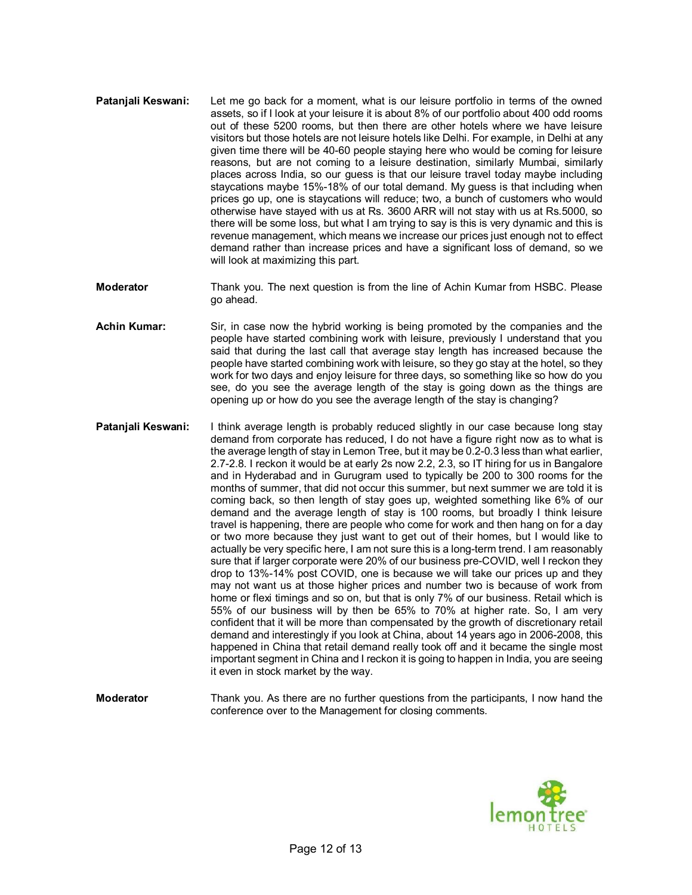- **Pataniali Keswani:** Let me go back for a moment, what is our leisure portfolio in terms of the owned assets, so if I look at your leisure it is about 8% of our portfolio about 400 odd rooms out of these 5200 rooms, but then there are other hotels where we have leisure visitors but those hotels are not leisure hotels like Delhi. For example, in Delhi at any given time there will be 40-60 people staying here who would be coming for leisure reasons, but are not coming to a leisure destination, similarly Mumbai, similarly places across India, so our guess is that our leisure travel today maybe including staycations maybe 15%-18% of our total demand. My guess is that including when prices go up, one is staycations will reduce; two, a bunch of customers who would otherwise have stayed with us at Rs. 3600 ARR will not stay with us at Rs.5000, so there will be some loss, but what I am trying to say is this is very dynamic and this is revenue management, which means we increase our prices just enough not to effect demand rather than increase prices and have a significant loss of demand, so we will look at maximizing this part.
- **Moderator** Thank you. The next question is from the line of Achin Kumar from HSBC. Please go ahead.
- **Achin Kumar:** Sir, in case now the hybrid working is being promoted by the companies and the people have started combining work with leisure, previously I understand that you said that during the last call that average stay length has increased because the people have started combining work with leisure, so they go stay at the hotel, so they work for two days and enjoy leisure for three days, so something like so how do you see, do you see the average length of the stay is going down as the things are opening up or how do you see the average length of the stay is changing?
- **Patanjali Keswani:** I think average length is probably reduced slightly in our case because long stay demand from corporate has reduced, I do not have a figure right now as to what is the average length of stay in Lemon Tree, but it may be 0.2-0.3 less than what earlier, 2.7-2.8. I reckon it would be at early 2s now 2.2, 2.3, so IT hiring for us in Bangalore and in Hyderabad and in Gurugram used to typically be 200 to 300 rooms for the months of summer, that did not occur this summer, but next summer we are told it is coming back, so then length of stay goes up, weighted something like 6% of our demand and the average length of stay is 100 rooms, but broadly I think leisure travel is happening, there are people who come for work and then hang on for a day or two more because they just want to get out of their homes, but I would like to actually be very specific here, I am not sure this is a long-term trend. I am reasonably sure that if larger corporate were 20% of our business pre-COVID, well I reckon they drop to 13%-14% post COVID, one is because we will take our prices up and they may not want us at those higher prices and number two is because of work from home or flexi timings and so on, but that is only 7% of our business. Retail which is 55% of our business will by then be 65% to 70% at higher rate. So, I am very confident that it will be more than compensated by the growth of discretionary retail demand and interestingly if you look at China, about 14 years ago in 2006-2008, this happened in China that retail demand really took off and it became the single most important segment in China and I reckon it is going to happen in India, you are seeing it even in stock market by the way.
- **Moderator** Thank you. As there are no further questions from the participants, I now hand the conference over to the Management for closing comments.